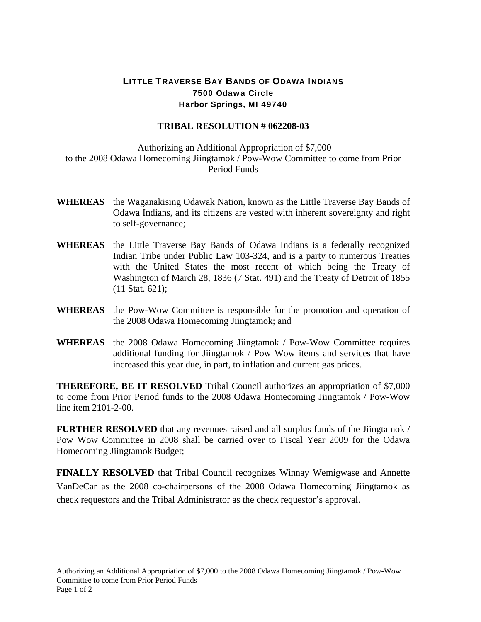## LITTLE TRAVERSE BAY BANDS OF ODAWA INDIANS 7500 Odawa Circle Harbor Springs, MI 49740

## **TRIBAL RESOLUTION # 062208-03**

 Authorizing an Additional Appropriation of \$7,000 to the 2008 Odawa Homecoming Jiingtamok / Pow-Wow Committee to come from Prior Period Funds

- **WHEREAS** the Waganakising Odawak Nation, known as the Little Traverse Bay Bands of Odawa Indians, and its citizens are vested with inherent sovereignty and right to self-governance;
- **WHEREAS** the Little Traverse Bay Bands of Odawa Indians is a federally recognized Indian Tribe under Public Law 103-324, and is a party to numerous Treaties with the United States the most recent of which being the Treaty of Washington of March 28, 1836 (7 Stat. 491) and the Treaty of Detroit of 1855 (11 Stat. 621);
- **WHEREAS** the Pow-Wow Committee is responsible for the promotion and operation of the 2008 Odawa Homecoming Jiingtamok; and
- **WHEREAS** the 2008 Odawa Homecoming Jiingtamok / Pow-Wow Committee requires additional funding for Jiingtamok / Pow Wow items and services that have increased this year due, in part, to inflation and current gas prices.

**THEREFORE, BE IT RESOLVED** Tribal Council authorizes an appropriation of \$7,000 to come from Prior Period funds to the 2008 Odawa Homecoming Jiingtamok / Pow-Wow line item 2101-2-00.

**FURTHER RESOLVED** that any revenues raised and all surplus funds of the Jiingtamok / Pow Wow Committee in 2008 shall be carried over to Fiscal Year 2009 for the Odawa Homecoming Jiingtamok Budget;

**FINALLY RESOLVED** that Tribal Council recognizes Winnay Wemigwase and Annette VanDeCar as the 2008 co-chairpersons of the 2008 Odawa Homecoming Jiingtamok as check requestors and the Tribal Administrator as the check requestor's approval.